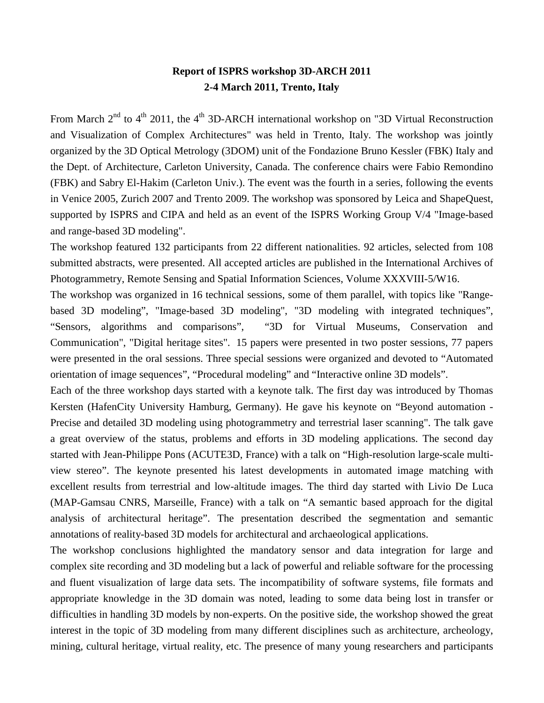## **Report of ISPRS workshop 3D-ARCH 2011 2-4 March 2011, Trento, Italy**

From March  $2^{nd}$  to  $4^{th}$  2011, the  $4^{th}$  3D-ARCH international workshop on "3D Virtual Reconstruction and Visualization of Complex Architectures" was held in Trento, Italy. The workshop was jointly organized by the 3D Optical Metrology (3DOM) unit of the Fondazione Bruno Kessler (FBK) Italy and the Dept. of Architecture, Carleton University, Canada. The conference chairs were Fabio Remondino (FBK) and Sabry El-Hakim (Carleton Univ.). The event was the fourth in a series, following the events in Venice 2005, Zurich 2007 and Trento 2009. The workshop was sponsored by Leica and ShapeQuest, supported by ISPRS and CIPA and held as an event of the ISPRS Working Group V/4 "Image-based and range-based 3D modeling".

The workshop featured 132 participants from 22 different nationalities. 92 articles, selected from 108 submitted abstracts, were presented. All accepted articles are published in the International Archives of Photogrammetry, Remote Sensing and Spatial Information Sciences, Volume XXXVIII-5/W16.

The workshop was organized in 16 technical sessions, some of them parallel, with topics like "Rangebased 3D modeling", "Image-based 3D modeling", "3D modeling with integrated techniques", "Sensors, algorithms and comparisons", "3D for Virtual Museums, Conservation and Communication", "Digital heritage sites". 15 papers were presented in two poster sessions, 77 papers were presented in the oral sessions. Three special sessions were organized and devoted to "Automated orientation of image sequences", "Procedural modeling" and "Interactive online 3D models".

Each of the three workshop days started with a keynote talk. The first day was introduced by Thomas Kersten (HafenCity University Hamburg, Germany). He gave his keynote on "Beyond automation - Precise and detailed 3D modeling using photogrammetry and terrestrial laser scanning". The talk gave a great overview of the status, problems and efforts in 3D modeling applications. The second day started with Jean-Philippe Pons (ACUTE3D, France) with a talk on "High-resolution large-scale multiview stereo". The keynote presented his latest developments in automated image matching with excellent results from terrestrial and low-altitude images. The third day started with Livio De Luca (MAP-Gamsau CNRS, Marseille, France) with a talk on "A semantic based approach for the digital analysis of architectural heritage". The presentation described the segmentation and semantic annotations of reality-based 3D models for architectural and archaeological applications.

The workshop conclusions highlighted the mandatory sensor and data integration for large and complex site recording and 3D modeling but a lack of powerful and reliable software for the processing and fluent visualization of large data sets. The incompatibility of software systems, file formats and appropriate knowledge in the 3D domain was noted, leading to some data being lost in transfer or difficulties in handling 3D models by non-experts. On the positive side, the workshop showed the great interest in the topic of 3D modeling from many different disciplines such as architecture, archeology, mining, cultural heritage, virtual reality, etc. The presence of many young researchers and participants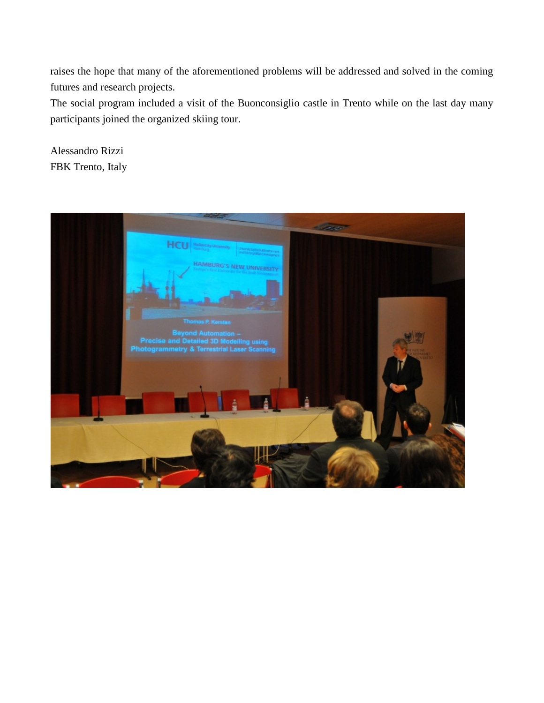raises the hope that many of the aforementioned problems will be addressed and solved in the coming futures and research projects.

The social program included a visit of the Buonconsiglio castle in Trento while on the last day many participants joined the organized skiing tour.

Alessandro Rizzi FBK Trento, Italy

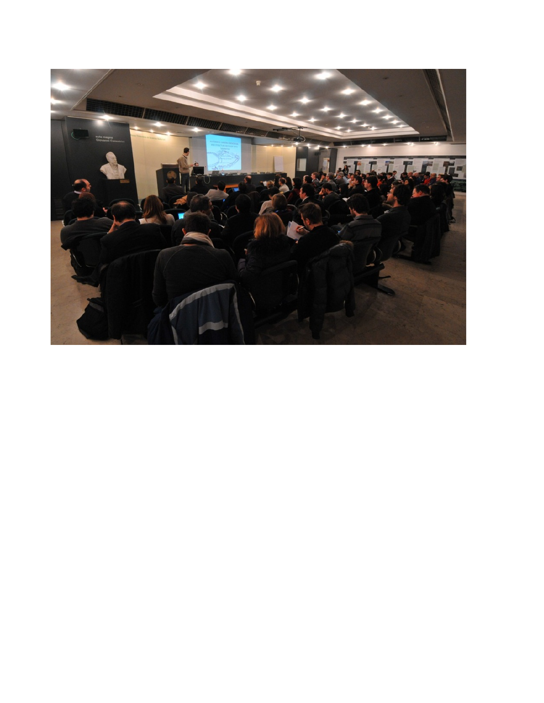